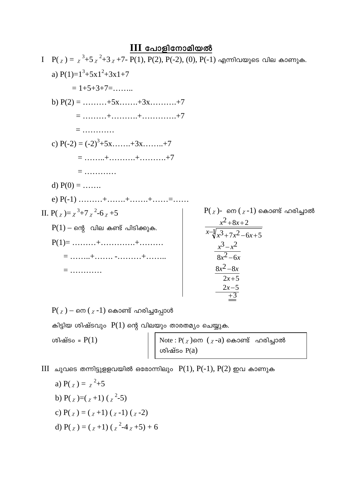## **III പോളിനോമിയൽ**

 $P(x) = x^3 + 5x^2 + 3x + 7 - P(1), P(2), P(-2), (0), P(-1)$  എന്നിവയുടെ വില കാണുക. a)  $P(1)=1^3+5x1^2+3x1+7$  $= 1 + 5 + 3 + 7 = \dots$ b)  $P(2) =$  .........+5x.......+3x..........+7  $=$  ............ c)  $P(-2) = (-2)^3 + 5x + (-3)x + 3x + (-7)$  $=$  ........+...........+............+7  $=$  ............ d)  $P(0) =$  ....... e)  $P(-1)$  .........+.......+.......+......=......  $P(x)$ - നെ  $(x-1)$  കൊണ്ട് ഹരിച്ചാൽ II. P(x)=x<sup>3</sup>+7x<sup>2</sup>-6x+5  $\frac{x^2+8x+2}{x-\sqrt{x^3+7x^2-6x+5}}$  $P(1)$  – ന്റെ വില കണ്ട് പിടിക്കുക.  $P(1) =$  .........+...............+..........  $\frac{x^3-x^2}{8x^2-6x}$  $\frac{8x^2-8x}{2x+5}$  $=$  ............  $\frac{2x-5}{+3}$ 

 $P(x)$  – നെ  $(x-1)$  കൊണ്ട് ഹരിച്ചപ്പോൾ

കിട്ടിയ ശിഷ്ടവും  $P(1)$  ന്റെ വിലയും താരതമ്യം ചെയ്യുക.

ശിഷ്ടം =  $P(1)$ 

Note : P $(\chi)$ നെ  $(\chi$ -a) കൊണ്ട് ഹരിച്ചാൽ<br>ശിഷ്ടം P $(a)$ 

 $III$  ചുവടെ തന്നിട്ടുളളവയിൽ ഒരോന്നിലും  $P(1), P(-1), P(2)$  ഇവ കാണുക

a) P( $\gamma$ ) =  $\gamma^2 + 5$ b) P( $\gamma$ )=( $\gamma$ +1) ( $\gamma$ <sup>2</sup>-5) c)  $P(y) = (y+1)(y-1)(y-2)$ d)  $P(x) = (x+1)(x^2-4x+5) + 6$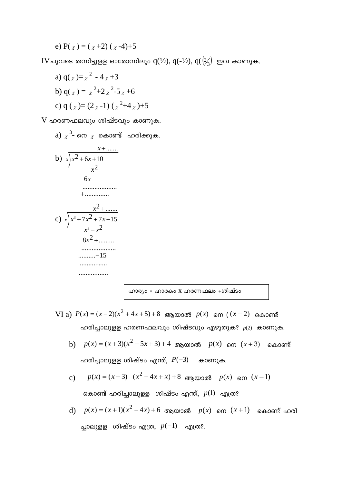e)  $P(x) = (x+2)(x-4)+5$ 

 $\text{IV}\,$ ചുവടെ തന്നിട്ടുളള ഓരോന്നിലും  $\text{q}(\frac{1}{2}), \, \text{q}(\frac{-1}{2}), \, \text{q}(\frac{1}{3})$  ഇവ കാണുക.

a)  $q(x) = x^2 - 4x + 3$ b)  $q(x) = x^2 + 2x^2 - 5x + 6$ c)  $g(y) = (2y-1)(y^2+4y)+5$ 

 $V$  ഹരണഫലവും ശിഷ്ടവും കാണുക.

a)  $\chi$ <sup>3</sup>- നെ  $\chi$  കൊണ്ട് ഹരിക്കുക.



ഹാര്യം = ഹാരകം x ഹരണഫലം +ശിഷ്ടം

- VI a)  $P(x) = (x-2)(x^2+4x+5)+8$  ആയാൽ  $p(x)$  നെ  $((x-2)$  കൊണ്ട് ഹരിച്ചാലുള്ള ഹരണഫലവും ശിഷ്ടവും എഴുതുക?  $p(2)$  കാണുക.
	- b)  $p(x) = (x+3)(x^2-5x+3)+4$  അനയാൽ  $p(x)$  നെ  $(x+3)$  കൊണ്ട് ഹരിച്ചാലുള്ള ശിഷ്ടം എന്ത്,  $P(-3)$  കാണുക.
	- c)  $p(x) = (x-3)(x^2-4x+x)+8$  അയാൽ  $p(x)$  നെ  $(x-1)$

കൊണ്ട് ഹരിച്ചാലുള്ള ശിഷ്ടം എന്ത്,  $p(1)$  എത്ര?

d)  $p(x) = (x+1)(x^2-4x)+6$  ആയാൽ  $p(x)$  നെ  $(x+1)$  കൊണ്ട് ഹരി ച്ചാലുള്ള ശിഷ്ടം എത്ര,  $p(-1)$  എത്ര?.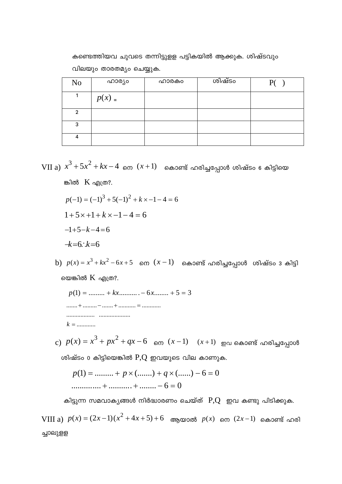കണ്ടെത്തിയവ ചുവടെ തന്നിട്ടുളള പട്ടികയിൽ ആക്കുക. ശിഷ്ടവും വിലയും താരതമ്യം ചെയ്യുക.

| N <sub>0</sub> | ഹാര്യം   | ഹാരകം | ശിഷ്ടം | P( |
|----------------|----------|-------|--------|----|
|                | $p(x) =$ |       |        |    |
| $\overline{2}$ |          |       |        |    |
| 3              |          |       |        |    |
| 4              |          |       |        |    |

VII a)  $x^3 + 5x^2 + kx - 4$  നെ  $(x+1)$  കൊണ്ട് ഹരിച്ചപ്പോൾ ശിഷ്ടം 6 കിട്ടിയെ

ങ്കിൽ K എത്ര?.

- $p(-1) = (-1)^3 + 5(-1)^2 + k \times -1 4 = 6$
- $1+5x+1+kx-1-4=6$
- $-k=6$ ;  $k=6$

 $-1+5-k-4=6$ 

b)  $p(x) = x^3 + kx^2 - 6x + 5$  നെ  $(x - 1)$  കൊണ്ട് ഹരിച്ചപ്പോൾ ശിഷ്ടം 3 കിട്ടി

യെങ്കിൽ  $K$  എത്ര?.

 $p(1) =$  ......... +  $kx$ ........... - 6x........ + 5 = 3  $k =$  ............

c)  $p(x) = x^3 + px^2 + qx - 6$  നെ  $(x-1)$   $(x+1)$  ഇവ കൊണ്ട് ഹരിച്ചപ്പോൾ

ശിഷ്ടം o കിട്ടിയെങ്കിൽ  $P,Q$  ഇവയുടെ വില കാണുക.

$$
p(1) = \dots + p \times (\dots) + q \times (\dots) - 6 = 0
$$
  
...\dots + \dots + \dots - 6 = 0

കിട്ടുന്ന സമവാകൃങ്ങൾ നിർദ്ധാരണം ചെയ്ത്  $P,Q$  ഇവ കണ്ടു പിടിക്കുക.

VIII a)  $p(x) = (2x-1)(x^2+4x+5)+6$  ആയാൽ  $p(x)$  നെ  $(2x-1)$  കൊണ്ട് ഹരി ച്ചാലുളള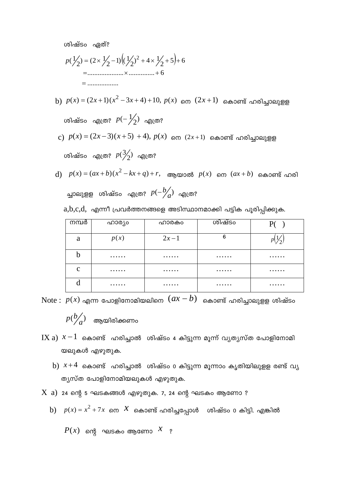ശിഷ്ടം ഏത്?

$$
p(\frac{1}{2}) = (2 \times \frac{1}{2} - 1)(\frac{1}{2})^2 + 4 \times \frac{1}{2} + 5 + 6
$$
  
= 3.2022 + 4 = 6  
= 3.2022 + 6 = 6

- b)  $p(x) = (2x+1)(x^2-3x+4)+10$ ,  $p(x)$  നെ  $(2x+1)$  കൊണ്ട് ഹരിച്ചാലുളള ശിഷ്ടം എത്ര?  $p(−1/2)$  എത്ര?
- c)  $p(x) = (2x-3)(x+5) + 4$ ),  $p(x)$  നെ  $(2x+1)$  കൊണ്ട് ഹരിച്ചാലുളള ശിഷ്ടം എത്ര?  $p(\frac{3}{2})$  എത്ര?
- $p(x) = (ax + b)(x^2 kx + q) + r$ , ആയാൽ  $p(x)$  നെ  $(ax + b)$  കൊണ്ട് ഹരി ച്ചാലുളള ശിഷ്ടം എത്ര?  $p(-\frac{b}{a})$  എത്ര?  $a,b,c,d,$  എന്നീ പ്രവർത്തനങ്ങളെ അടിസ്ഥാനമാക്കി പട്ടിക പൂരിപ്പിക്കുക.

| നമ്പർ        | ഹാര്യം | ഹാരകം  | ശിഷ്ടം |   |
|--------------|--------|--------|--------|---|
| a            | p(x)   | $2x-1$ | 6      |   |
| b            | .      | .      | .      | . |
| $\mathbf{C}$ | .      | .      | .      | . |
| d            | .      | .      | .      | . |

 $\text{Note: } p(x)$  എന്ന പോളിനോമിയലിനെ  $(ax - b)$  കൊണ്ട് ഹരിച്ചാലുളള ശിഷ്ടം  $p(b\llap{/}_a)$  ആയിരിക്കണം

- $IX$  a)  $x-1$  കൊണ്ട് ഹരിച്ചാൽ ശിഷ്ടം 4 കിട്ടുന്ന മൂന്ന് വ്യത്യസ്ത പോളിനോമി യലുകൾ എഴുതുക.
	- $b$ )  $x+4$  കൊണ്ട് ഹരിചാൽ ശിഷ്ടം o കിട്ടുന്ന മൂന്നാം കൃതിയിലുള്ള രണ്ട് വൃ ത്യസ്ത പോളിനോമിയലുകൾ എഴുതുക.
- $X$  a) 24 ന്റെ 5 ഘടകങ്ങൾ എഴുതുക. 7, 24 ന്റെ ഘടകം ആണോ ?
- $\int$ ) *p*(*x*) =  $x^2 + 7x$  നെ  $\overline{X}$  കൊണ്ട് ഹരിച്ചപ്പോൾ ശിഷ്ടം o കിട്ടി. എങ്കിൽ

 $P(x)$  ന്റെ ഘടകം ആണോ  $\overline{X}$  ?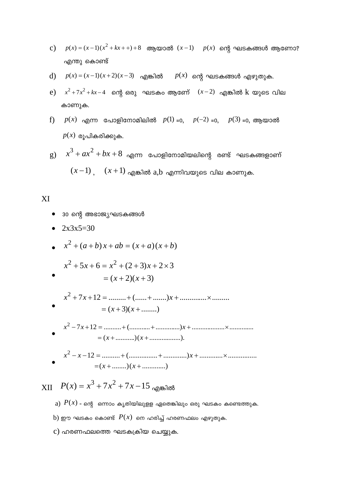- c)  $p(x) = (x-1)(x^2 + kx + 1) + 8$  ആയാൽ  $(x-1)$   $p(x)$  ന്റെ ഘടകങ്ങൾ ആണോ? എന്തു കൊണ്ട്
- $p(x) = (x-1)(x+2)(x-3)$  എങ്കിൽ  $p(x)$  ന്റെ ഘടകങ്ങൾ എഴുതുക.  $\mathbf{d}$
- e)  $x^2 + 7x^2 + kx 4$  ന്റെ ഒരു ഘടകം ആണേ്  $(x-2)$  എങ്കിൽ k യുടെ വില കാണുക.
- $p(x)$  എന്ന പോളിനോമിലിൽ  $p(1)$  =0,  $p(-2)$  =0,  $p(3)$  =0, ആയാൽ f)  $p(x)$  രൂപികരിക്കുക.
- $g$ )  $x^3 + ax^2 + bx + 8$  എന്ന പോളിനോമിയലിന്റെ രണ്ട് ഘടകങ്ങളാണ്  $(x-1)$ ,  $(x+1)$  എങ്കിൽ a,b എന്നിവയുടെ വില കാണുക.

## XI

- 30 ന്റെ അഭാജ്യഘടകങ്ങൾ
- $2x3x5=30$  $\bullet$

• 
$$
x^2 + (a+b)x + ab = (x+a)(x+b)
$$

$$
x^{2} + 5x + 6 = x^{2} + (2+3)x + 2 \times 3
$$
  
= (x+2)(x+3)

- $=(x+3)(x+......)$
- 
- $=(x + ......)(x + ......)$

 $XII$   $P(x) = x^3 + 7x^2 + 7x - 15$  on the 16

- a)  $P(x)$  ന്റെ ഒന്നാം കൃതിയിലുളള ഏതെങ്കിലും ഒരു ഘടകം കണ്ടെത്തുക.
- b) ഈ ഘടകം കൊണ്ട്  $P(x)$  നെ ഹരിച്ച് ഹരണഫലം എഴുതുക.
- c) ഹരണഫലത്തെ ഘടകക്രിയ ചെയ്യുക.